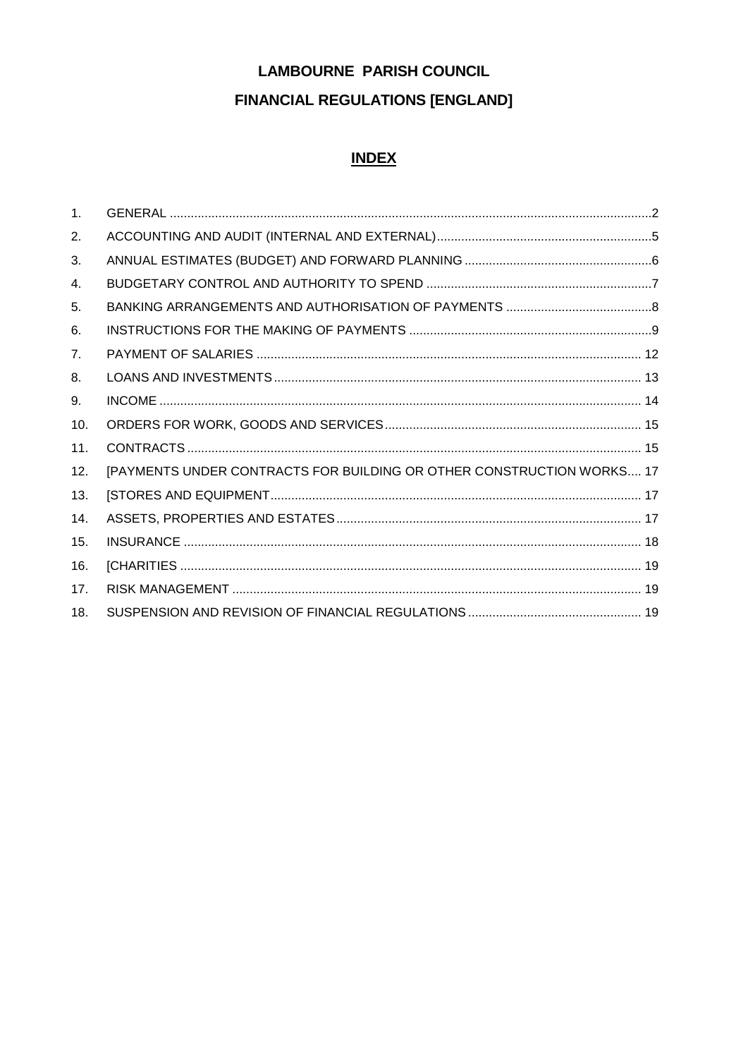# **LAMBOURNE PARISH COUNCIL FINANCIAL REGULATIONS [ENGLAND]**

# **INDEX**

| 1 <sub>1</sub> |                                                                       |  |
|----------------|-----------------------------------------------------------------------|--|
| 2.             |                                                                       |  |
| 3.             |                                                                       |  |
| 4.             |                                                                       |  |
| 5.             |                                                                       |  |
| 6.             |                                                                       |  |
| 7.             |                                                                       |  |
| 8.             |                                                                       |  |
| 9.             |                                                                       |  |
| 10.            |                                                                       |  |
| 11.            |                                                                       |  |
| 12.            | [PAYMENTS UNDER CONTRACTS FOR BUILDING OR OTHER CONSTRUCTION WORKS 17 |  |
| 13.            |                                                                       |  |
| 14.            |                                                                       |  |
| 15.            |                                                                       |  |
| 16.            |                                                                       |  |
| 17.            |                                                                       |  |
| 18.            |                                                                       |  |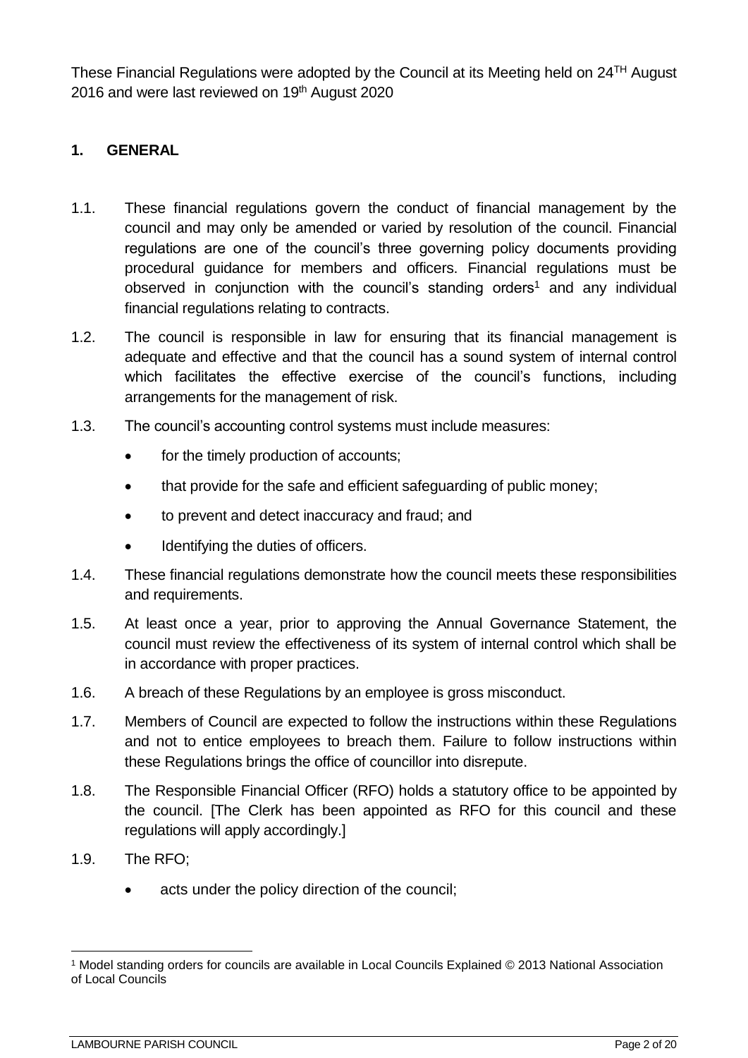These Financial Regulations were adopted by the Council at its Meeting held on 24TH August 2016 and were last reviewed on 19<sup>th</sup> August 2020

## <span id="page-1-0"></span>**1. GENERAL**

- 1.1. These financial regulations govern the conduct of financial management by the council and may only be amended or varied by resolution of the council. Financial regulations are one of the council's three governing policy documents providing procedural guidance for members and officers. Financial regulations must be observed in conjunction with the council's standing orders<sup>1</sup> and any individual financial regulations relating to contracts.
- 1.2. The council is responsible in law for ensuring that its financial management is adequate and effective and that the council has a sound system of internal control which facilitates the effective exercise of the council's functions, including arrangements for the management of risk.
- 1.3. The council's accounting control systems must include measures:
	- for the timely production of accounts;
	- that provide for the safe and efficient safeguarding of public money;
	- to prevent and detect inaccuracy and fraud; and
	- Identifying the duties of officers.
- 1.4. These financial regulations demonstrate how the council meets these responsibilities and requirements.
- 1.5. At least once a year, prior to approving the Annual Governance Statement, the council must review the effectiveness of its system of internal control which shall be in accordance with proper practices.
- 1.6. A breach of these Regulations by an employee is gross misconduct.
- 1.7. Members of Council are expected to follow the instructions within these Regulations and not to entice employees to breach them. Failure to follow instructions within these Regulations brings the office of councillor into disrepute.
- 1.8. The Responsible Financial Officer (RFO) holds a statutory office to be appointed by the council. [The Clerk has been appointed as RFO for this council and these regulations will apply accordingly.]
- 1.9. The RFO;

<u>.</u>

acts under the policy direction of the council;

<sup>1</sup> Model standing orders for councils are available in Local Councils Explained © 2013 National Association of Local Councils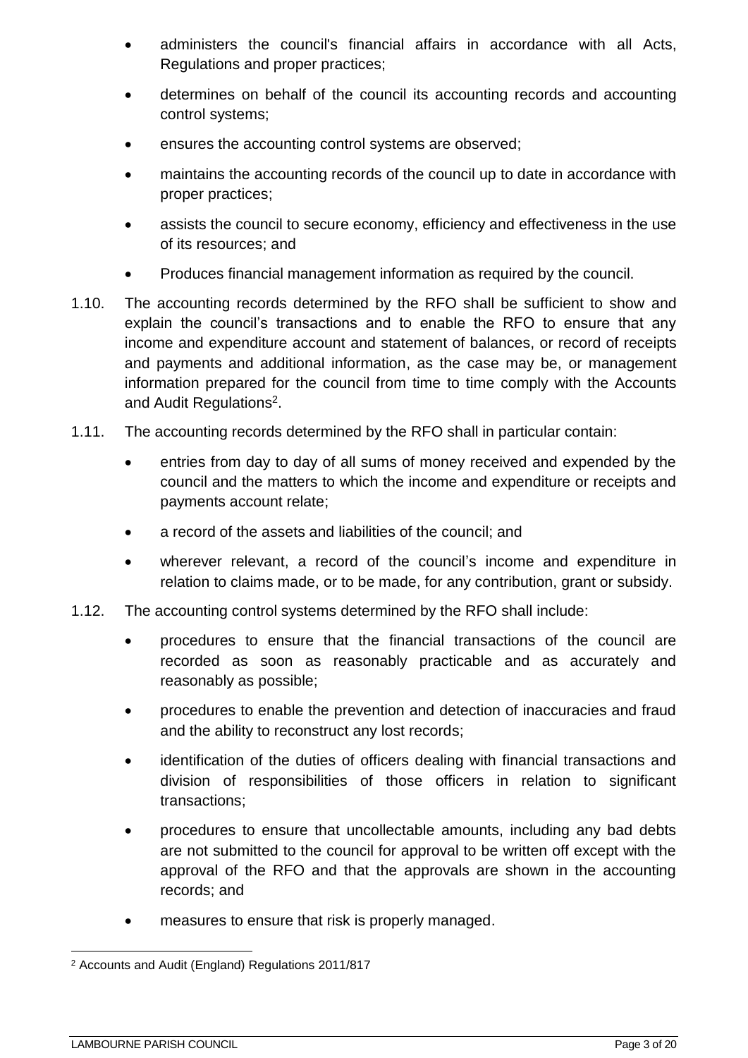- administers the council's financial affairs in accordance with all Acts, Regulations and proper practices;
- determines on behalf of the council its accounting records and accounting control systems;
- ensures the accounting control systems are observed;
- maintains the accounting records of the council up to date in accordance with proper practices;
- assists the council to secure economy, efficiency and effectiveness in the use of its resources; and
- Produces financial management information as required by the council.
- 1.10. The accounting records determined by the RFO shall be sufficient to show and explain the council's transactions and to enable the RFO to ensure that any income and expenditure account and statement of balances, or record of receipts and payments and additional information, as the case may be, or management information prepared for the council from time to time comply with the Accounts and Audit Regulations<sup>2</sup>.
- 1.11. The accounting records determined by the RFO shall in particular contain:
	- entries from day to day of all sums of money received and expended by the council and the matters to which the income and expenditure or receipts and payments account relate;
	- a record of the assets and liabilities of the council; and
	- wherever relevant, a record of the council's income and expenditure in relation to claims made, or to be made, for any contribution, grant or subsidy.
- 1.12. The accounting control systems determined by the RFO shall include:
	- procedures to ensure that the financial transactions of the council are recorded as soon as reasonably practicable and as accurately and reasonably as possible;
	- procedures to enable the prevention and detection of inaccuracies and fraud and the ability to reconstruct any lost records;
	- identification of the duties of officers dealing with financial transactions and division of responsibilities of those officers in relation to significant transactions;
	- procedures to ensure that uncollectable amounts, including any bad debts are not submitted to the council for approval to be written off except with the approval of the RFO and that the approvals are shown in the accounting records; and
	- measures to ensure that risk is properly managed.

<sup>&</sup>lt;u>.</u> <sup>2</sup> Accounts and Audit (England) Regulations 2011/817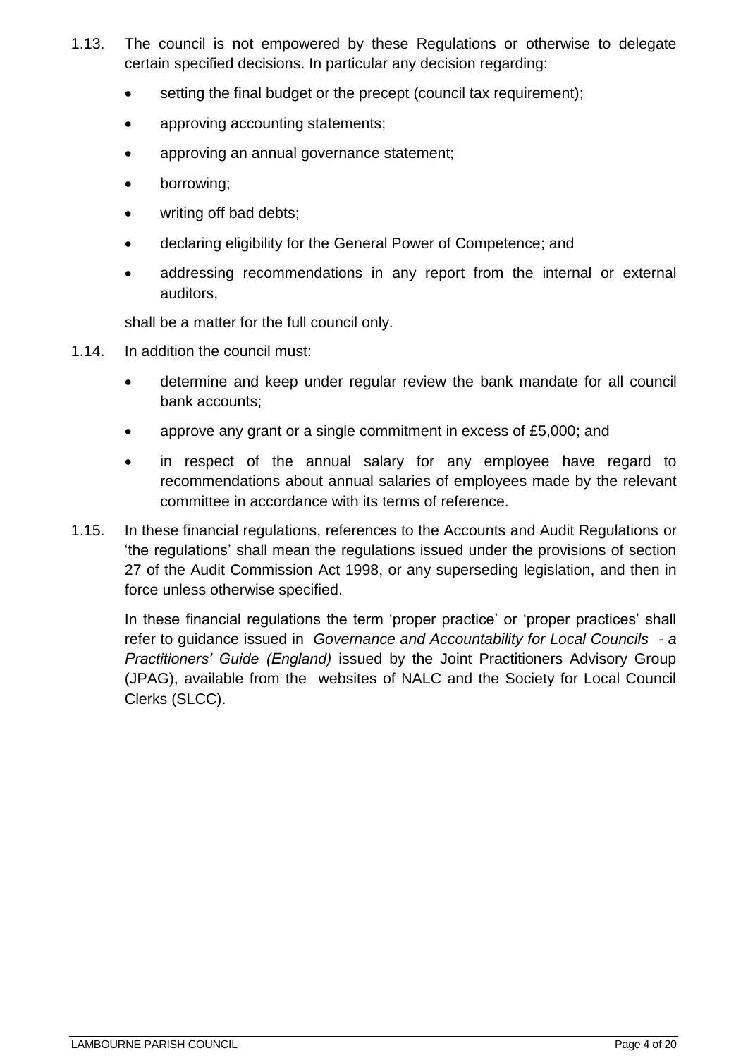- 1.13. The council is not empowered by these Regulations or otherwise to delegate certain specified decisions. In particular any decision regarding:
	- setting the final budget or the precept (council tax requirement);
	- approving accounting statements;
	- approving an annual governance statement;
	- borrowing;
	- writing off bad debts;
	- declaring eligibility for the General Power of Competence; and
	- addressing recommendations in any report from the internal or external auditors,

shall be a matter for the full council only.

- 1.14. In addition the council must:
	- determine and keep under regular review the bank mandate for all council bank accounts;
	- approve any grant or a single commitment in excess of £5,000; and
	- in respect of the annual salary for any employee have regard to recommendations about annual salaries of employees made by the relevant committee in accordance with its terms of reference.
- 1.15. In these financial regulations, references to the Accounts and Audit Regulations or 'the regulations' shall mean the regulations issued under the provisions of section 27 of the Audit Commission Act 1998, or any superseding legislation, and then in force unless otherwise specified.

In these financial regulations the term 'proper practice' or 'proper practices' shall refer to guidance issued in *Governance and Accountability for Local Councils - a Practitioners' Guide (England)* issued by the Joint Practitioners Advisory Group (JPAG), available from the websites of NALC and the Society for Local Council Clerks (SLCC).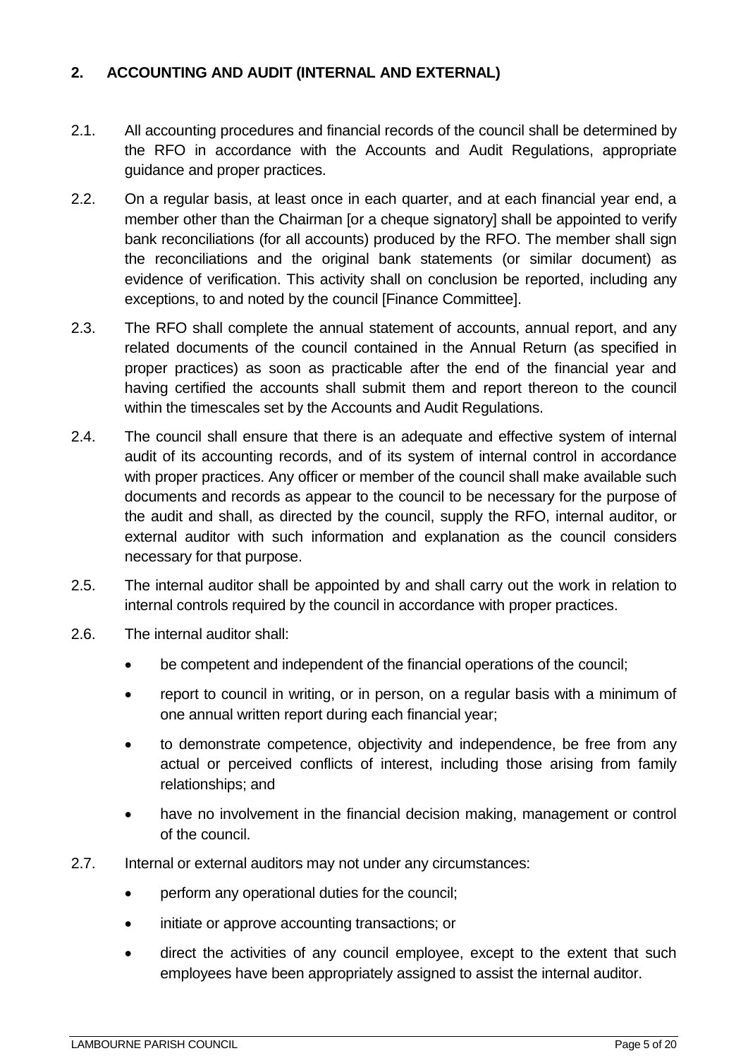## <span id="page-4-0"></span>**2. ACCOUNTING AND AUDIT (INTERNAL AND EXTERNAL)**

- 2.1. All accounting procedures and financial records of the council shall be determined by the RFO in accordance with the Accounts and Audit Regulations, appropriate guidance and proper practices.
- 2.2. On a regular basis, at least once in each quarter, and at each financial year end, a member other than the Chairman [or a cheque signatory] shall be appointed to verify bank reconciliations (for all accounts) produced by the RFO. The member shall sign the reconciliations and the original bank statements (or similar document) as evidence of verification. This activity shall on conclusion be reported, including any exceptions, to and noted by the council [Finance Committee].
- 2.3. The RFO shall complete the annual statement of accounts, annual report, and any related documents of the council contained in the Annual Return (as specified in proper practices) as soon as practicable after the end of the financial year and having certified the accounts shall submit them and report thereon to the council within the timescales set by the Accounts and Audit Regulations.
- 2.4. The council shall ensure that there is an adequate and effective system of internal audit of its accounting records, and of its system of internal control in accordance with proper practices. Any officer or member of the council shall make available such documents and records as appear to the council to be necessary for the purpose of the audit and shall, as directed by the council, supply the RFO, internal auditor, or external auditor with such information and explanation as the council considers necessary for that purpose.
- 2.5. The internal auditor shall be appointed by and shall carry out the work in relation to internal controls required by the council in accordance with proper practices.
- 2.6. The internal auditor shall:
	- be competent and independent of the financial operations of the council;
	- report to council in writing, or in person, on a regular basis with a minimum of one annual written report during each financial year;
	- to demonstrate competence, objectivity and independence, be free from any actual or perceived conflicts of interest, including those arising from family relationships; and
	- have no involvement in the financial decision making, management or control of the council.
- 2.7. Internal or external auditors may not under any circumstances:
	- perform any operational duties for the council;
	- initiate or approve accounting transactions; or
	- direct the activities of any council employee, except to the extent that such employees have been appropriately assigned to assist the internal auditor.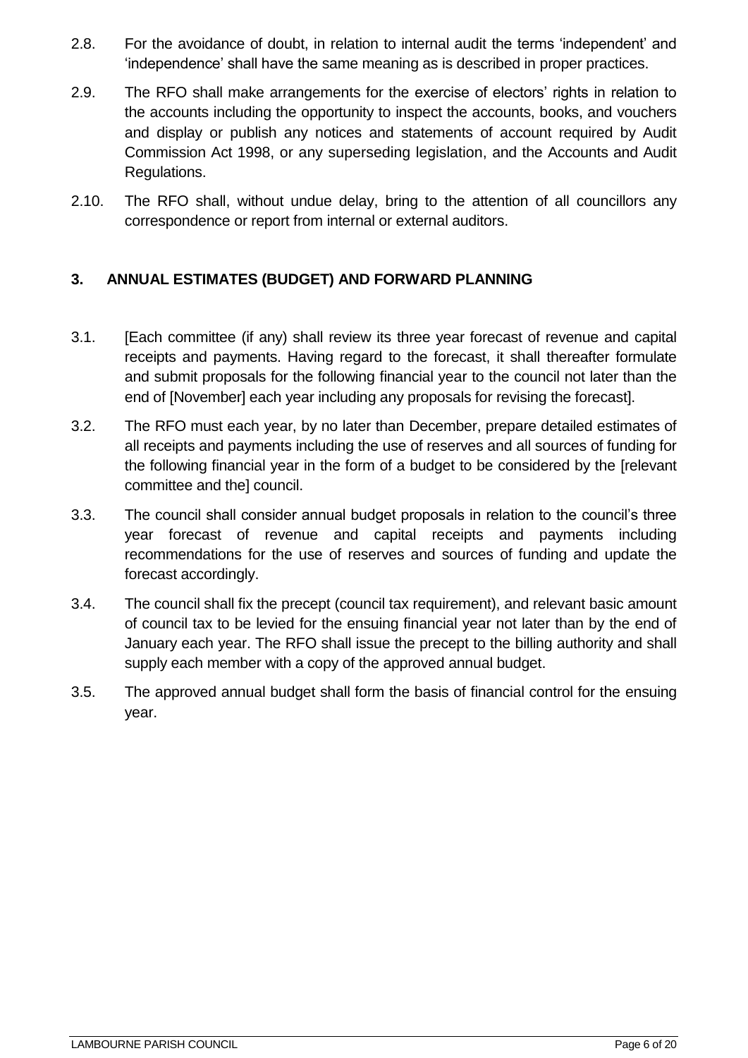- 2.8. For the avoidance of doubt, in relation to internal audit the terms 'independent' and 'independence' shall have the same meaning as is described in proper practices.
- 2.9. The RFO shall make arrangements for the exercise of electors' rights in relation to the accounts including the opportunity to inspect the accounts, books, and vouchers and display or publish any notices and statements of account required by Audit Commission Act 1998, or any superseding legislation, and the Accounts and Audit Regulations.
- 2.10. The RFO shall, without undue delay, bring to the attention of all councillors any correspondence or report from internal or external auditors.

# <span id="page-5-0"></span>**3. ANNUAL ESTIMATES (BUDGET) AND FORWARD PLANNING**

- 3.1. [Each committee (if any) shall review its three year forecast of revenue and capital receipts and payments. Having regard to the forecast, it shall thereafter formulate and submit proposals for the following financial year to the council not later than the end of [November] each year including any proposals for revising the forecast].
- 3.2. The RFO must each year, by no later than December, prepare detailed estimates of all receipts and payments including the use of reserves and all sources of funding for the following financial year in the form of a budget to be considered by the [relevant committee and the] council.
- 3.3. The council shall consider annual budget proposals in relation to the council's three year forecast of revenue and capital receipts and payments including recommendations for the use of reserves and sources of funding and update the forecast accordingly.
- 3.4. The council shall fix the precept (council tax requirement), and relevant basic amount of council tax to be levied for the ensuing financial year not later than by the end of January each year. The RFO shall issue the precept to the billing authority and shall supply each member with a copy of the approved annual budget.
- 3.5. The approved annual budget shall form the basis of financial control for the ensuing year.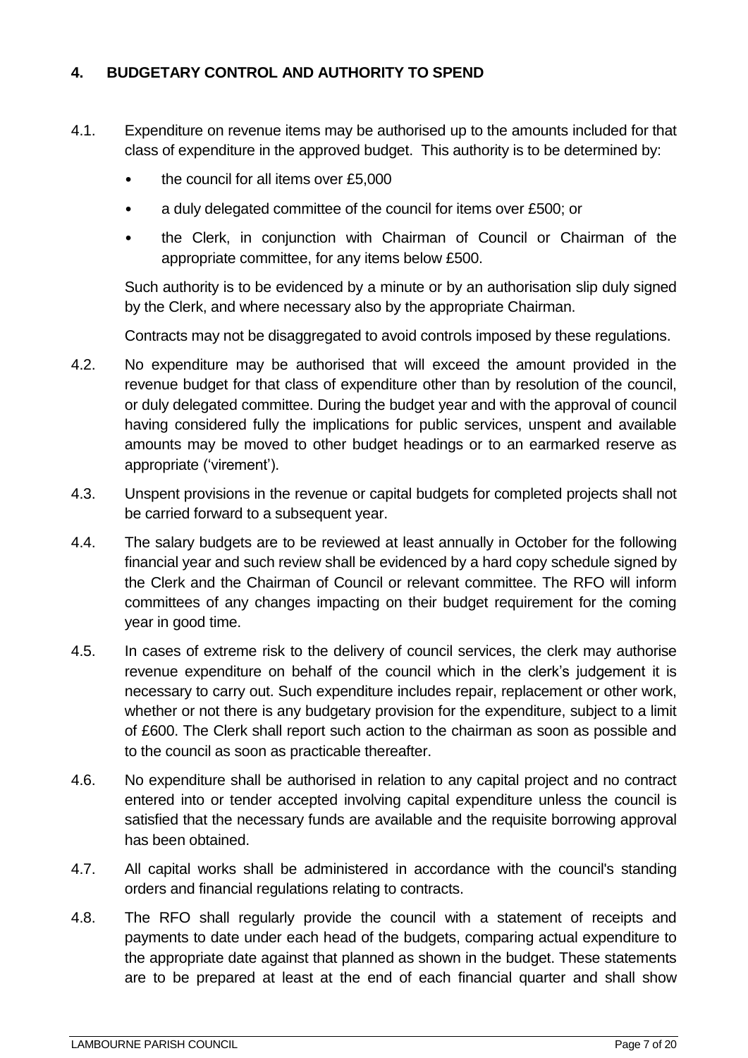## <span id="page-6-0"></span>**4. BUDGETARY CONTROL AND AUTHORITY TO SPEND**

- 4.1. Expenditure on revenue items may be authorised up to the amounts included for that class of expenditure in the approved budget. This authority is to be determined by:
	- the council for all items over £5,000
	- a duly delegated committee of the council for items over £500; or
	- the Clerk, in conjunction with Chairman of Council or Chairman of the appropriate committee, for any items below £500.

Such authority is to be evidenced by a minute or by an authorisation slip duly signed by the Clerk, and where necessary also by the appropriate Chairman.

Contracts may not be disaggregated to avoid controls imposed by these regulations.

- 4.2. No expenditure may be authorised that will exceed the amount provided in the revenue budget for that class of expenditure other than by resolution of the council, or duly delegated committee. During the budget year and with the approval of council having considered fully the implications for public services, unspent and available amounts may be moved to other budget headings or to an earmarked reserve as appropriate ('virement').
- 4.3. Unspent provisions in the revenue or capital budgets for completed projects shall not be carried forward to a subsequent year.
- 4.4. The salary budgets are to be reviewed at least annually in October for the following financial year and such review shall be evidenced by a hard copy schedule signed by the Clerk and the Chairman of Council or relevant committee. The RFO will inform committees of any changes impacting on their budget requirement for the coming year in good time.
- 4.5. In cases of extreme risk to the delivery of council services, the clerk may authorise revenue expenditure on behalf of the council which in the clerk's judgement it is necessary to carry out. Such expenditure includes repair, replacement or other work, whether or not there is any budgetary provision for the expenditure, subject to a limit of £600. The Clerk shall report such action to the chairman as soon as possible and to the council as soon as practicable thereafter.
- 4.6. No expenditure shall be authorised in relation to any capital project and no contract entered into or tender accepted involving capital expenditure unless the council is satisfied that the necessary funds are available and the requisite borrowing approval has been obtained.
- 4.7. All capital works shall be administered in accordance with the council's standing orders and financial regulations relating to contracts.
- 4.8. The RFO shall regularly provide the council with a statement of receipts and payments to date under each head of the budgets, comparing actual expenditure to the appropriate date against that planned as shown in the budget. These statements are to be prepared at least at the end of each financial quarter and shall show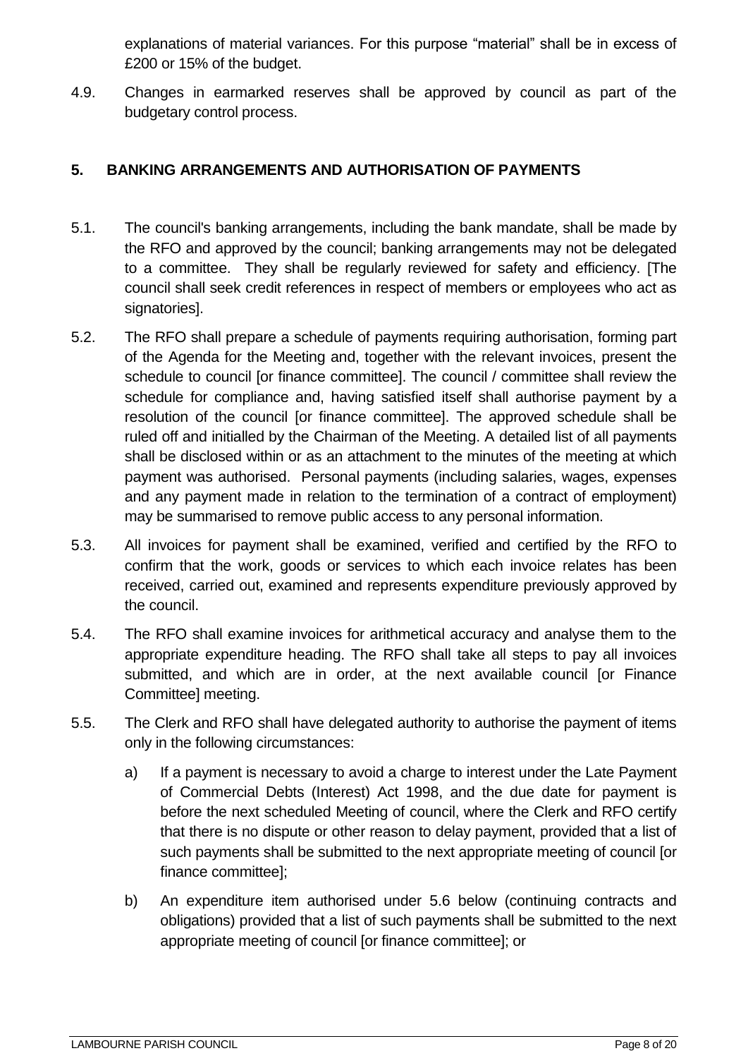explanations of material variances. For this purpose "material" shall be in excess of £200 or 15% of the budget.

4.9. Changes in earmarked reserves shall be approved by council as part of the budgetary control process.

## <span id="page-7-0"></span>**5. BANKING ARRANGEMENTS AND AUTHORISATION OF PAYMENTS**

- 5.1. The council's banking arrangements, including the bank mandate, shall be made by the RFO and approved by the council; banking arrangements may not be delegated to a committee. They shall be regularly reviewed for safety and efficiency. [The council shall seek credit references in respect of members or employees who act as signatories].
- 5.2. The RFO shall prepare a schedule of payments requiring authorisation, forming part of the Agenda for the Meeting and, together with the relevant invoices, present the schedule to council [or finance committee]. The council / committee shall review the schedule for compliance and, having satisfied itself shall authorise payment by a resolution of the council [or finance committee]. The approved schedule shall be ruled off and initialled by the Chairman of the Meeting. A detailed list of all payments shall be disclosed within or as an attachment to the minutes of the meeting at which payment was authorised. Personal payments (including salaries, wages, expenses and any payment made in relation to the termination of a contract of employment) may be summarised to remove public access to any personal information.
- 5.3. All invoices for payment shall be examined, verified and certified by the RFO to confirm that the work, goods or services to which each invoice relates has been received, carried out, examined and represents expenditure previously approved by the council.
- 5.4. The RFO shall examine invoices for arithmetical accuracy and analyse them to the appropriate expenditure heading. The RFO shall take all steps to pay all invoices submitted, and which are in order, at the next available council [or Finance Committee] meeting.
- 5.5. The Clerk and RFO shall have delegated authority to authorise the payment of items only in the following circumstances:
	- a) If a payment is necessary to avoid a charge to interest under the Late Payment of Commercial Debts (Interest) Act 1998, and the due date for payment is before the next scheduled Meeting of council, where the Clerk and RFO certify that there is no dispute or other reason to delay payment, provided that a list of such payments shall be submitted to the next appropriate meeting of council [or finance committee];
	- b) An expenditure item authorised under 5.6 below (continuing contracts and obligations) provided that a list of such payments shall be submitted to the next appropriate meeting of council [or finance committee]; or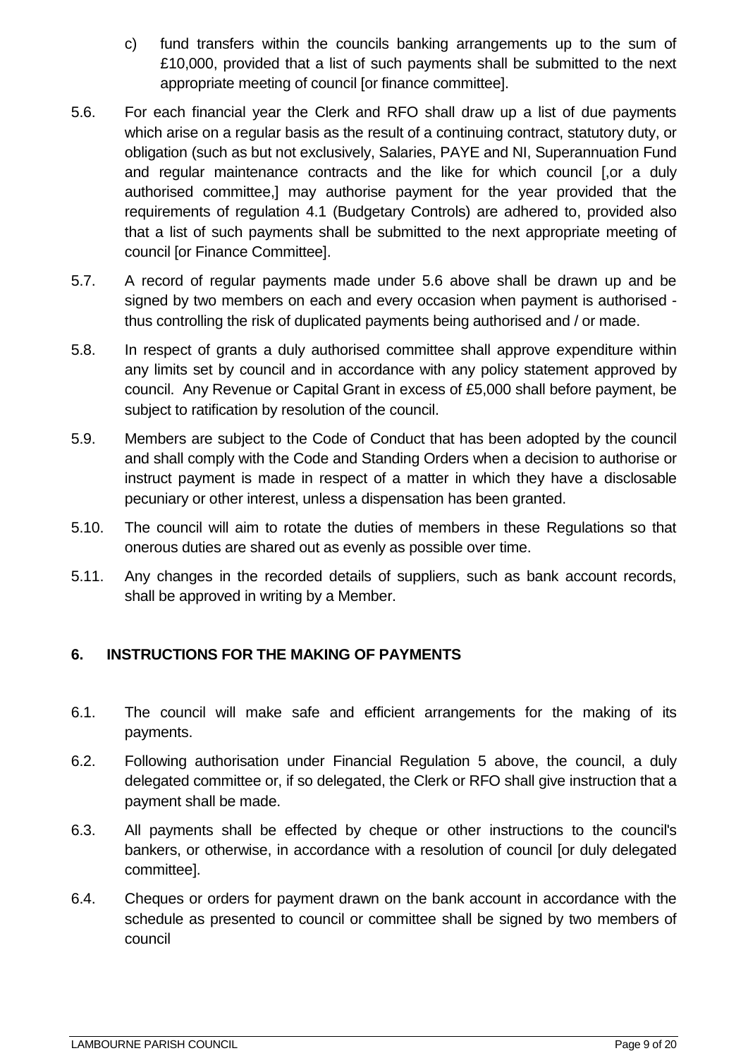- c) fund transfers within the councils banking arrangements up to the sum of £10,000, provided that a list of such payments shall be submitted to the next appropriate meeting of council [or finance committee].
- 5.6. For each financial year the Clerk and RFO shall draw up a list of due payments which arise on a regular basis as the result of a continuing contract, statutory duty, or obligation (such as but not exclusively, Salaries, PAYE and NI, Superannuation Fund and regular maintenance contracts and the like for which council [,or a duly authorised committee,] may authorise payment for the year provided that the requirements of regulation 4.1 (Budgetary Controls) are adhered to, provided also that a list of such payments shall be submitted to the next appropriate meeting of council [or Finance Committee].
- 5.7. A record of regular payments made under 5.6 above shall be drawn up and be signed by two members on each and every occasion when payment is authorised thus controlling the risk of duplicated payments being authorised and / or made.
- 5.8. In respect of grants a duly authorised committee shall approve expenditure within any limits set by council and in accordance with any policy statement approved by council. Any Revenue or Capital Grant in excess of £5,000 shall before payment, be subject to ratification by resolution of the council.
- 5.9. Members are subject to the Code of Conduct that has been adopted by the council and shall comply with the Code and Standing Orders when a decision to authorise or instruct payment is made in respect of a matter in which they have a disclosable pecuniary or other interest, unless a dispensation has been granted.
- 5.10. The council will aim to rotate the duties of members in these Regulations so that onerous duties are shared out as evenly as possible over time.
- 5.11. Any changes in the recorded details of suppliers, such as bank account records, shall be approved in writing by a Member.

# <span id="page-8-0"></span>**6. INSTRUCTIONS FOR THE MAKING OF PAYMENTS**

- 6.1. The council will make safe and efficient arrangements for the making of its payments.
- 6.2. Following authorisation under Financial Regulation 5 above, the council, a duly delegated committee or, if so delegated, the Clerk or RFO shall give instruction that a payment shall be made.
- 6.3. All payments shall be effected by cheque or other instructions to the council's bankers, or otherwise, in accordance with a resolution of council [or duly delegated committee].
- 6.4. Cheques or orders for payment drawn on the bank account in accordance with the schedule as presented to council or committee shall be signed by two members of council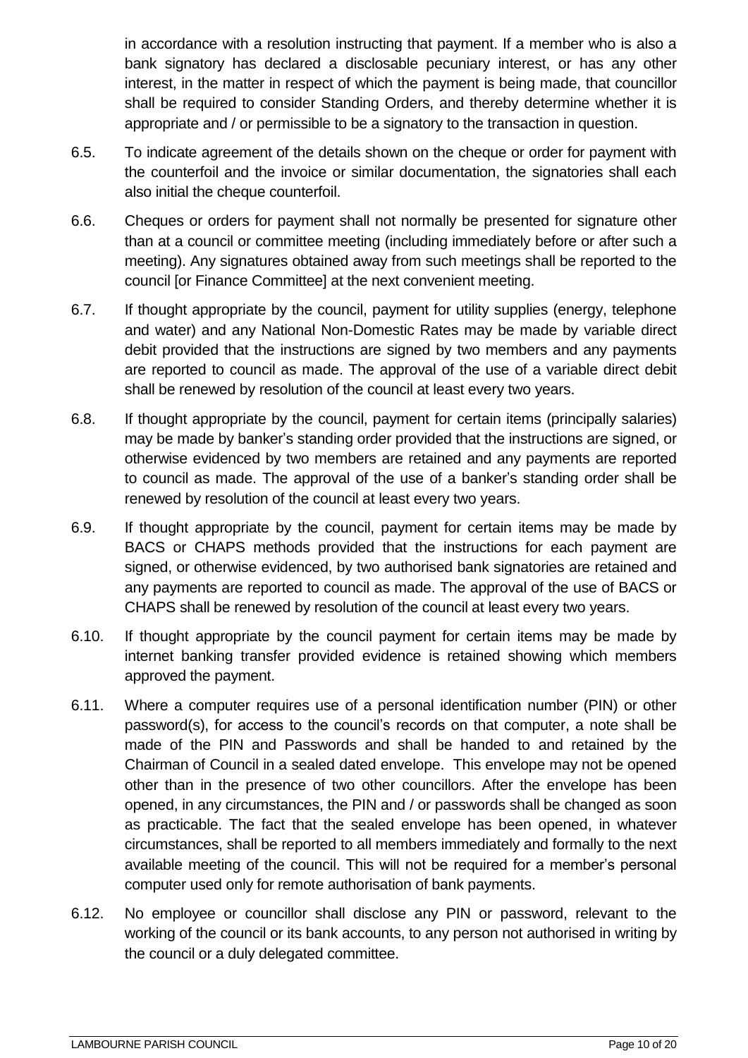in accordance with a resolution instructing that payment. If a member who is also a bank signatory has declared a disclosable pecuniary interest, or has any other interest, in the matter in respect of which the payment is being made, that councillor shall be required to consider Standing Orders, and thereby determine whether it is appropriate and / or permissible to be a signatory to the transaction in question.

- 6.5. To indicate agreement of the details shown on the cheque or order for payment with the counterfoil and the invoice or similar documentation, the signatories shall each also initial the cheque counterfoil.
- 6.6. Cheques or orders for payment shall not normally be presented for signature other than at a council or committee meeting (including immediately before or after such a meeting). Any signatures obtained away from such meetings shall be reported to the council [or Finance Committee] at the next convenient meeting.
- 6.7. If thought appropriate by the council, payment for utility supplies (energy, telephone and water) and any National Non-Domestic Rates may be made by variable direct debit provided that the instructions are signed by two members and any payments are reported to council as made. The approval of the use of a variable direct debit shall be renewed by resolution of the council at least every two years.
- 6.8. If thought appropriate by the council, payment for certain items (principally salaries) may be made by banker's standing order provided that the instructions are signed, or otherwise evidenced by two members are retained and any payments are reported to council as made. The approval of the use of a banker's standing order shall be renewed by resolution of the council at least every two years.
- 6.9. If thought appropriate by the council, payment for certain items may be made by BACS or CHAPS methods provided that the instructions for each payment are signed, or otherwise evidenced, by two authorised bank signatories are retained and any payments are reported to council as made. The approval of the use of BACS or CHAPS shall be renewed by resolution of the council at least every two years.
- 6.10. If thought appropriate by the council payment for certain items may be made by internet banking transfer provided evidence is retained showing which members approved the payment.
- 6.11. Where a computer requires use of a personal identification number (PIN) or other password(s), for access to the council's records on that computer, a note shall be made of the PIN and Passwords and shall be handed to and retained by the Chairman of Council in a sealed dated envelope. This envelope may not be opened other than in the presence of two other councillors. After the envelope has been opened, in any circumstances, the PIN and / or passwords shall be changed as soon as practicable. The fact that the sealed envelope has been opened, in whatever circumstances, shall be reported to all members immediately and formally to the next available meeting of the council. This will not be required for a member's personal computer used only for remote authorisation of bank payments.
- 6.12. No employee or councillor shall disclose any PIN or password, relevant to the working of the council or its bank accounts, to any person not authorised in writing by the council or a duly delegated committee.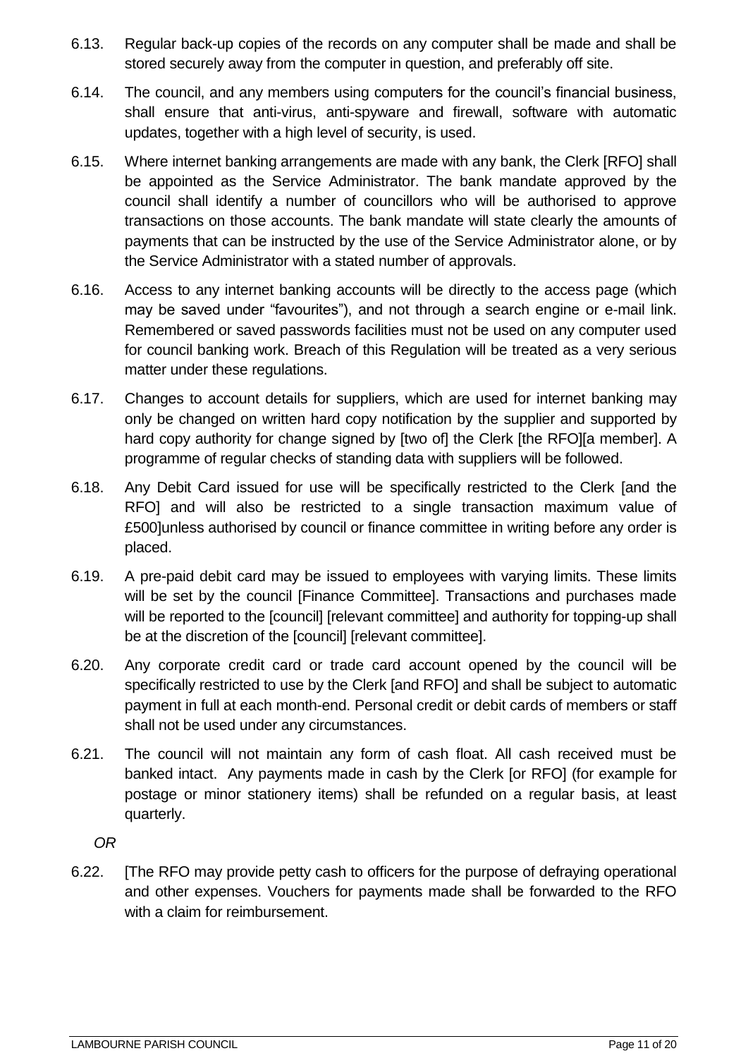- 6.13. Regular back-up copies of the records on any computer shall be made and shall be stored securely away from the computer in question, and preferably off site.
- 6.14. The council, and any members using computers for the council's financial business, shall ensure that anti-virus, anti-spyware and firewall, software with automatic updates, together with a high level of security, is used.
- 6.15. Where internet banking arrangements are made with any bank, the Clerk [RFO] shall be appointed as the Service Administrator. The bank mandate approved by the council shall identify a number of councillors who will be authorised to approve transactions on those accounts. The bank mandate will state clearly the amounts of payments that can be instructed by the use of the Service Administrator alone, or by the Service Administrator with a stated number of approvals.
- 6.16. Access to any internet banking accounts will be directly to the access page (which may be saved under "favourites"), and not through a search engine or e-mail link. Remembered or saved passwords facilities must not be used on any computer used for council banking work. Breach of this Regulation will be treated as a very serious matter under these regulations.
- 6.17. Changes to account details for suppliers, which are used for internet banking may only be changed on written hard copy notification by the supplier and supported by hard copy authority for change signed by [two of] the Clerk [the RFO][a member]. A programme of regular checks of standing data with suppliers will be followed.
- 6.18. Any Debit Card issued for use will be specifically restricted to the Clerk [and the RFO] and will also be restricted to a single transaction maximum value of £500]unless authorised by council or finance committee in writing before any order is placed.
- 6.19. A pre-paid debit card may be issued to employees with varying limits. These limits will be set by the council [Finance Committee]. Transactions and purchases made will be reported to the [council] [relevant committee] and authority for topping-up shall be at the discretion of the [council] [relevant committee].
- 6.20. Any corporate credit card or trade card account opened by the council will be specifically restricted to use by the Clerk [and RFO] and shall be subject to automatic payment in full at each month-end. Personal credit or debit cards of members or staff shall not be used under any circumstances.
- 6.21. The council will not maintain any form of cash float. All cash received must be banked intact. Any payments made in cash by the Clerk [or RFO] (for example for postage or minor stationery items) shall be refunded on a regular basis, at least quarterly.

*OR* 

6.22. [The RFO may provide petty cash to officers for the purpose of defraying operational and other expenses. Vouchers for payments made shall be forwarded to the RFO with a claim for reimbursement.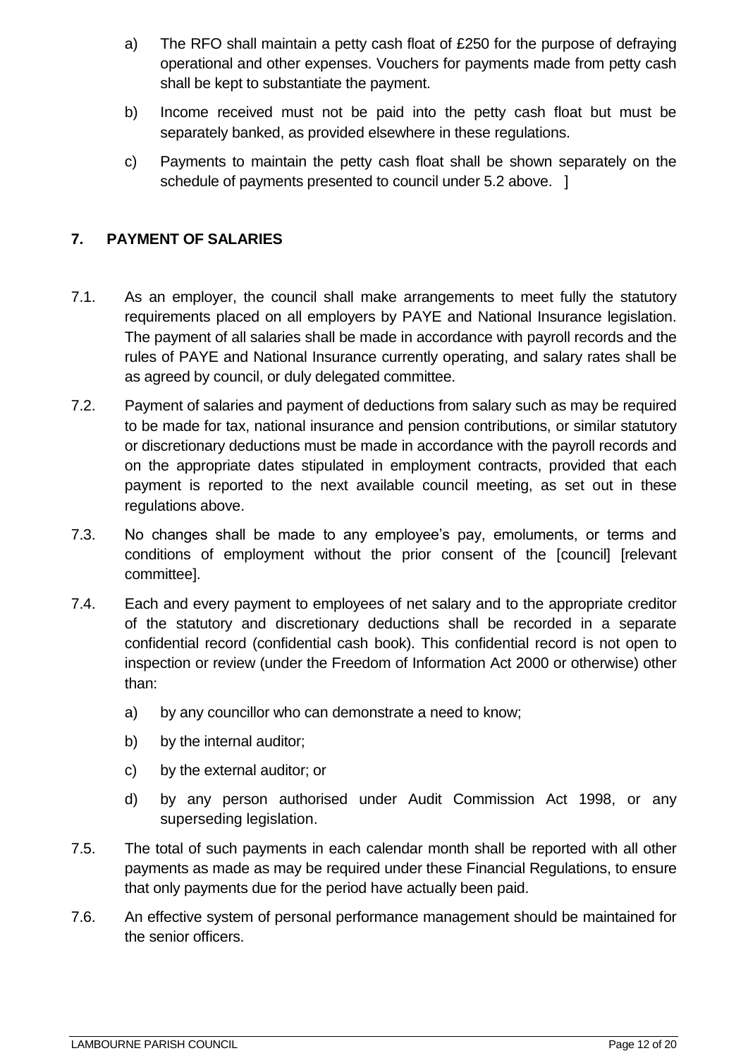- a) The RFO shall maintain a petty cash float of £250 for the purpose of defraying operational and other expenses. Vouchers for payments made from petty cash shall be kept to substantiate the payment.
- b) Income received must not be paid into the petty cash float but must be separately banked, as provided elsewhere in these regulations.
- c) Payments to maintain the petty cash float shall be shown separately on the schedule of payments presented to council under 5.2 above. ]

## <span id="page-11-0"></span>**7. PAYMENT OF SALARIES**

- 7.1. As an employer, the council shall make arrangements to meet fully the statutory requirements placed on all employers by PAYE and National Insurance legislation. The payment of all salaries shall be made in accordance with payroll records and the rules of PAYE and National Insurance currently operating, and salary rates shall be as agreed by council, or duly delegated committee.
- 7.2. Payment of salaries and payment of deductions from salary such as may be required to be made for tax, national insurance and pension contributions, or similar statutory or discretionary deductions must be made in accordance with the payroll records and on the appropriate dates stipulated in employment contracts, provided that each payment is reported to the next available council meeting, as set out in these regulations above.
- 7.3. No changes shall be made to any employee's pay, emoluments, or terms and conditions of employment without the prior consent of the [council] [relevant committee].
- 7.4. Each and every payment to employees of net salary and to the appropriate creditor of the statutory and discretionary deductions shall be recorded in a separate confidential record (confidential cash book). This confidential record is not open to inspection or review (under the Freedom of Information Act 2000 or otherwise) other than:
	- a) by any councillor who can demonstrate a need to know;
	- b) by the internal auditor:
	- c) by the external auditor; or
	- d) by any person authorised under Audit Commission Act 1998, or any superseding legislation.
- 7.5. The total of such payments in each calendar month shall be reported with all other payments as made as may be required under these Financial Regulations, to ensure that only payments due for the period have actually been paid.
- 7.6. An effective system of personal performance management should be maintained for the senior officers.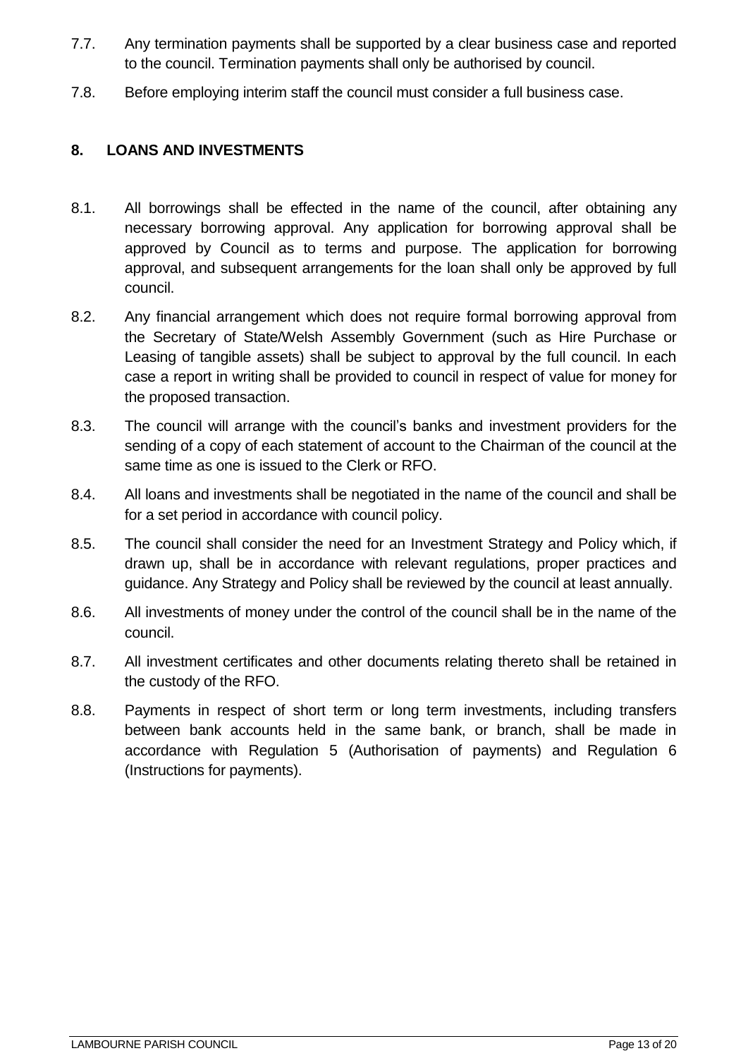- 7.7. Any termination payments shall be supported by a clear business case and reported to the council. Termination payments shall only be authorised by council.
- 7.8. Before employing interim staff the council must consider a full business case.

## <span id="page-12-0"></span>**8. LOANS AND INVESTMENTS**

- 8.1. All borrowings shall be effected in the name of the council, after obtaining any necessary borrowing approval. Any application for borrowing approval shall be approved by Council as to terms and purpose. The application for borrowing approval, and subsequent arrangements for the loan shall only be approved by full council.
- 8.2. Any financial arrangement which does not require formal borrowing approval from the Secretary of State/Welsh Assembly Government (such as Hire Purchase or Leasing of tangible assets) shall be subject to approval by the full council. In each case a report in writing shall be provided to council in respect of value for money for the proposed transaction.
- 8.3. The council will arrange with the council's banks and investment providers for the sending of a copy of each statement of account to the Chairman of the council at the same time as one is issued to the Clerk or RFO.
- 8.4. All loans and investments shall be negotiated in the name of the council and shall be for a set period in accordance with council policy.
- 8.5. The council shall consider the need for an Investment Strategy and Policy which, if drawn up, shall be in accordance with relevant regulations, proper practices and guidance. Any Strategy and Policy shall be reviewed by the council at least annually.
- 8.6. All investments of money under the control of the council shall be in the name of the council.
- 8.7. All investment certificates and other documents relating thereto shall be retained in the custody of the RFO.
- 8.8. Payments in respect of short term or long term investments, including transfers between bank accounts held in the same bank, or branch, shall be made in accordance with Regulation 5 (Authorisation of payments) and Regulation 6 (Instructions for payments).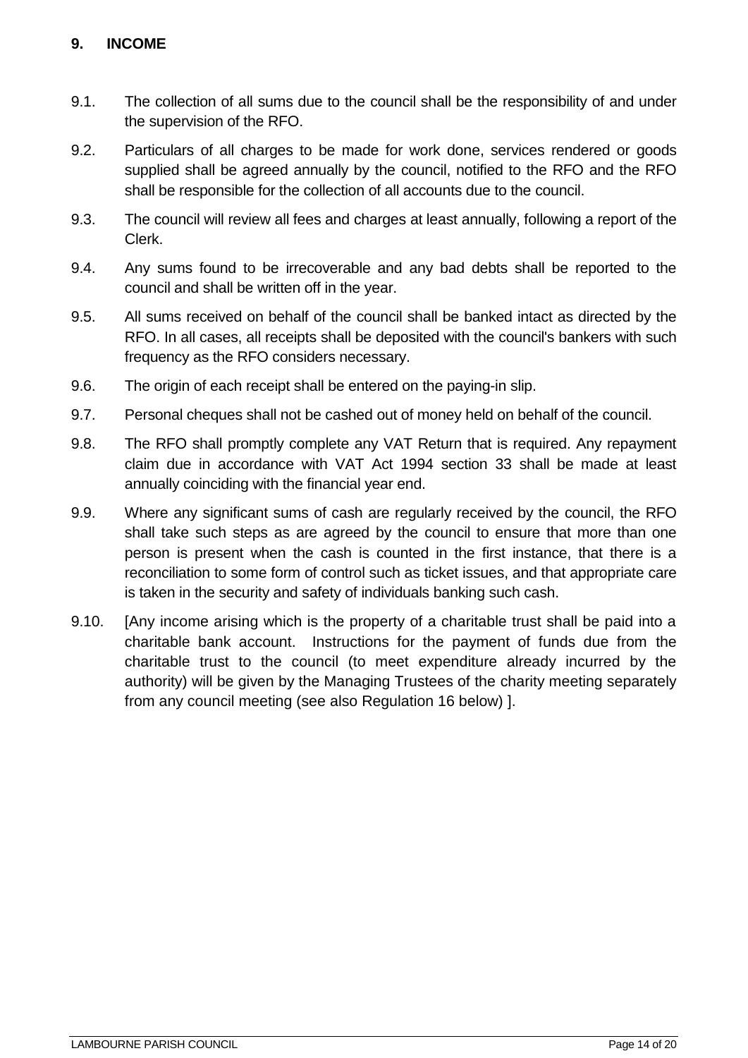## <span id="page-13-0"></span>**9. INCOME**

- 9.1. The collection of all sums due to the council shall be the responsibility of and under the supervision of the RFO.
- 9.2. Particulars of all charges to be made for work done, services rendered or goods supplied shall be agreed annually by the council, notified to the RFO and the RFO shall be responsible for the collection of all accounts due to the council.
- 9.3. The council will review all fees and charges at least annually, following a report of the Clerk.
- 9.4. Any sums found to be irrecoverable and any bad debts shall be reported to the council and shall be written off in the year.
- 9.5. All sums received on behalf of the council shall be banked intact as directed by the RFO. In all cases, all receipts shall be deposited with the council's bankers with such frequency as the RFO considers necessary.
- 9.6. The origin of each receipt shall be entered on the paying-in slip.
- 9.7. Personal cheques shall not be cashed out of money held on behalf of the council.
- 9.8. The RFO shall promptly complete any VAT Return that is required. Any repayment claim due in accordance with VAT Act 1994 section 33 shall be made at least annually coinciding with the financial year end.
- 9.9. Where any significant sums of cash are regularly received by the council, the RFO shall take such steps as are agreed by the council to ensure that more than one person is present when the cash is counted in the first instance, that there is a reconciliation to some form of control such as ticket issues, and that appropriate care is taken in the security and safety of individuals banking such cash.
- 9.10. [Any income arising which is the property of a charitable trust shall be paid into a charitable bank account. Instructions for the payment of funds due from the charitable trust to the council (to meet expenditure already incurred by the authority) will be given by the Managing Trustees of the charity meeting separately from any council meeting (see also Regulation 16 below) ].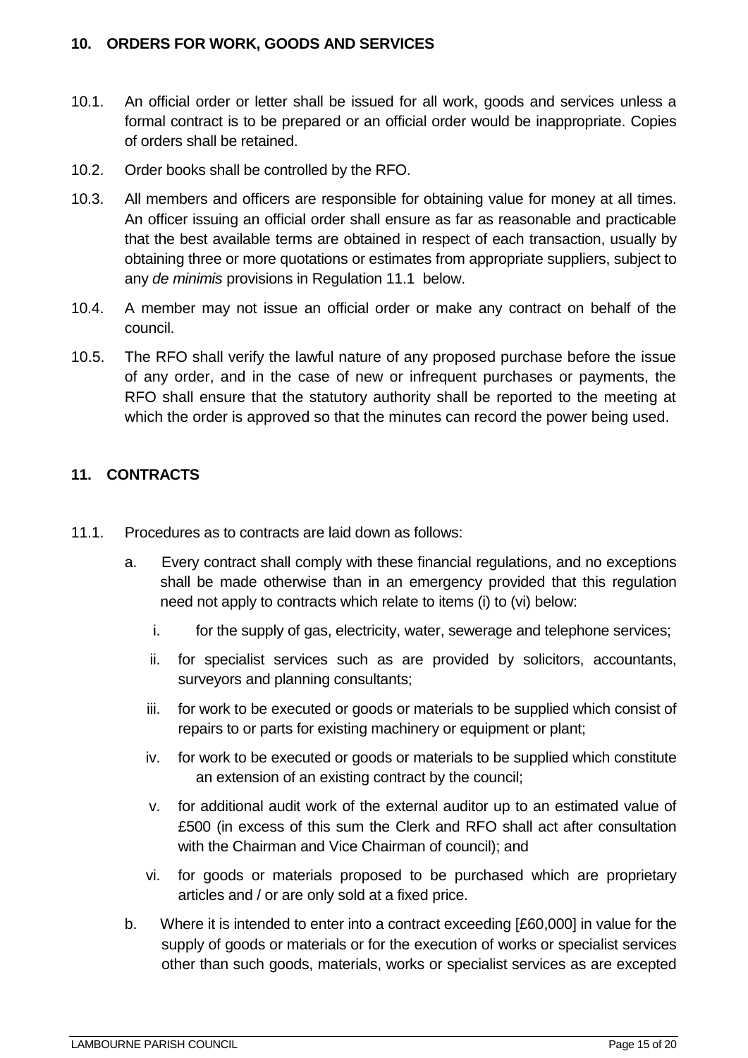## <span id="page-14-0"></span>**10. ORDERS FOR WORK, GOODS AND SERVICES**

- 10.1. An official order or letter shall be issued for all work, goods and services unless a formal contract is to be prepared or an official order would be inappropriate. Copies of orders shall be retained.
- 10.2. Order books shall be controlled by the RFO.
- 10.3. All members and officers are responsible for obtaining value for money at all times. An officer issuing an official order shall ensure as far as reasonable and practicable that the best available terms are obtained in respect of each transaction, usually by obtaining three or more quotations or estimates from appropriate suppliers, subject to any *de minimis* provisions in Regulation 11.1 below.
- 10.4. A member may not issue an official order or make any contract on behalf of the council.
- 10.5. The RFO shall verify the lawful nature of any proposed purchase before the issue of any order, and in the case of new or infrequent purchases or payments, the RFO shall ensure that the statutory authority shall be reported to the meeting at which the order is approved so that the minutes can record the power being used.

## <span id="page-14-1"></span>**11. CONTRACTS**

- 11.1. Procedures as to contracts are laid down as follows:
	- a. Every contract shall comply with these financial regulations, and no exceptions shall be made otherwise than in an emergency provided that this regulation need not apply to contracts which relate to items (i) to (vi) below:
		- i. for the supply of gas, electricity, water, sewerage and telephone services;
		- ii. for specialist services such as are provided by solicitors, accountants, surveyors and planning consultants;
		- iii. for work to be executed or goods or materials to be supplied which consist of repairs to or parts for existing machinery or equipment or plant;
		- iv. for work to be executed or goods or materials to be supplied which constitute an extension of an existing contract by the council;
		- v. for additional audit work of the external auditor up to an estimated value of £500 (in excess of this sum the Clerk and RFO shall act after consultation with the Chairman and Vice Chairman of council); and
		- vi. for goods or materials proposed to be purchased which are proprietary articles and / or are only sold at a fixed price.
	- b. Where it is intended to enter into a contract exceeding [£60,000] in value for the supply of goods or materials or for the execution of works or specialist services other than such goods, materials, works or specialist services as are excepted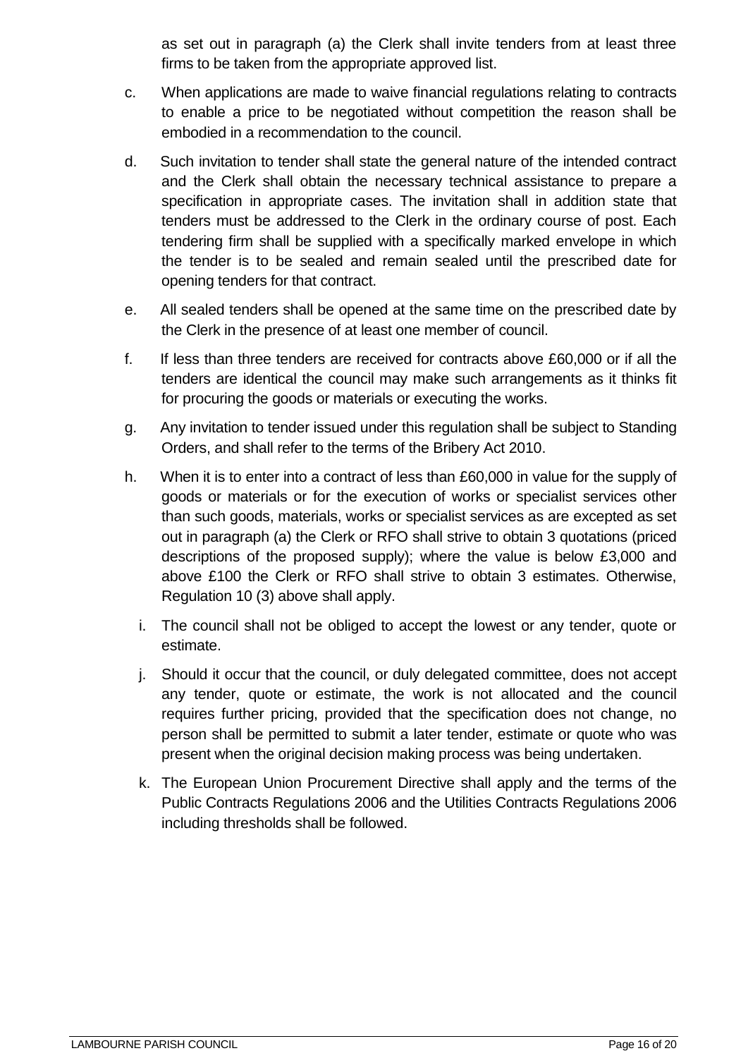as set out in paragraph (a) the Clerk shall invite tenders from at least three firms to be taken from the appropriate approved list.

- c. When applications are made to waive financial regulations relating to contracts to enable a price to be negotiated without competition the reason shall be embodied in a recommendation to the council.
- d. Such invitation to tender shall state the general nature of the intended contract and the Clerk shall obtain the necessary technical assistance to prepare a specification in appropriate cases. The invitation shall in addition state that tenders must be addressed to the Clerk in the ordinary course of post. Each tendering firm shall be supplied with a specifically marked envelope in which the tender is to be sealed and remain sealed until the prescribed date for opening tenders for that contract.
- e. All sealed tenders shall be opened at the same time on the prescribed date by the Clerk in the presence of at least one member of council.
- f. If less than three tenders are received for contracts above £60,000 or if all the tenders are identical the council may make such arrangements as it thinks fit for procuring the goods or materials or executing the works.
- g. Any invitation to tender issued under this regulation shall be subject to Standing Orders, and shall refer to the terms of the Bribery Act 2010.
- h. When it is to enter into a contract of less than £60,000 in value for the supply of goods or materials or for the execution of works or specialist services other than such goods, materials, works or specialist services as are excepted as set out in paragraph (a) the Clerk or RFO shall strive to obtain 3 quotations (priced descriptions of the proposed supply); where the value is below £3,000 and above £100 the Clerk or RFO shall strive to obtain 3 estimates. Otherwise, Regulation 10 (3) above shall apply.
	- i. The council shall not be obliged to accept the lowest or any tender, quote or estimate.
	- j. Should it occur that the council, or duly delegated committee, does not accept any tender, quote or estimate, the work is not allocated and the council requires further pricing, provided that the specification does not change, no person shall be permitted to submit a later tender, estimate or quote who was present when the original decision making process was being undertaken.
	- k. The European Union Procurement Directive shall apply and the terms of the Public Contracts Regulations 2006 and the Utilities Contracts Regulations 2006 including thresholds shall be followed.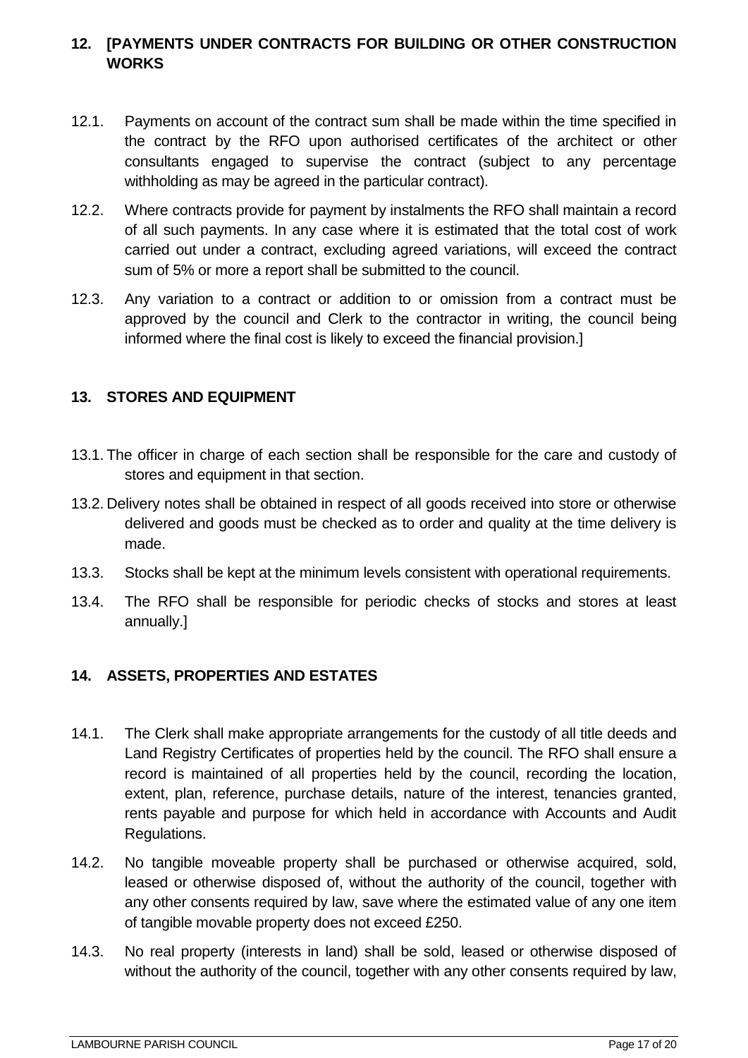## <span id="page-16-0"></span>**12. [PAYMENTS UNDER CONTRACTS FOR BUILDING OR OTHER CONSTRUCTION WORKS**

- 12.1. Payments on account of the contract sum shall be made within the time specified in the contract by the RFO upon authorised certificates of the architect or other consultants engaged to supervise the contract (subject to any percentage withholding as may be agreed in the particular contract).
- 12.2. Where contracts provide for payment by instalments the RFO shall maintain a record of all such payments. In any case where it is estimated that the total cost of work carried out under a contract, excluding agreed variations, will exceed the contract sum of 5% or more a report shall be submitted to the council.
- 12.3. Any variation to a contract or addition to or omission from a contract must be approved by the council and Clerk to the contractor in writing, the council being informed where the final cost is likely to exceed the financial provision.]

## <span id="page-16-1"></span>**13. STORES AND EQUIPMENT**

- 13.1. The officer in charge of each section shall be responsible for the care and custody of stores and equipment in that section.
- 13.2. Delivery notes shall be obtained in respect of all goods received into store or otherwise delivered and goods must be checked as to order and quality at the time delivery is made.
- 13.3. Stocks shall be kept at the minimum levels consistent with operational requirements.
- 13.4. The RFO shall be responsible for periodic checks of stocks and stores at least annually.]

# <span id="page-16-2"></span>**14. ASSETS, PROPERTIES AND ESTATES**

- 14.1. The Clerk shall make appropriate arrangements for the custody of all title deeds and Land Registry Certificates of properties held by the council. The RFO shall ensure a record is maintained of all properties held by the council, recording the location, extent, plan, reference, purchase details, nature of the interest, tenancies granted, rents payable and purpose for which held in accordance with Accounts and Audit Regulations.
- 14.2. No tangible moveable property shall be purchased or otherwise acquired, sold, leased or otherwise disposed of, without the authority of the council, together with any other consents required by law, save where the estimated value of any one item of tangible movable property does not exceed £250.
- 14.3. No real property (interests in land) shall be sold, leased or otherwise disposed of without the authority of the council, together with any other consents required by law,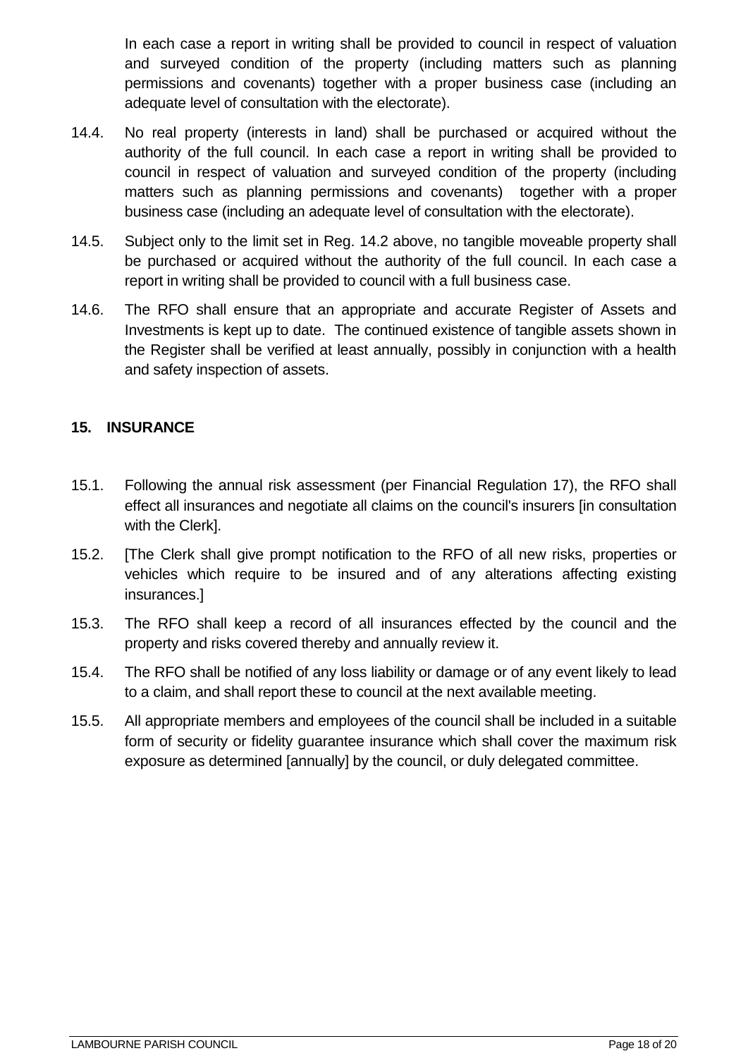In each case a report in writing shall be provided to council in respect of valuation and surveyed condition of the property (including matters such as planning permissions and covenants) together with a proper business case (including an adequate level of consultation with the electorate).

- 14.4. No real property (interests in land) shall be purchased or acquired without the authority of the full council. In each case a report in writing shall be provided to council in respect of valuation and surveyed condition of the property (including matters such as planning permissions and covenants) together with a proper business case (including an adequate level of consultation with the electorate).
- 14.5. Subject only to the limit set in Reg. 14.2 above, no tangible moveable property shall be purchased or acquired without the authority of the full council. In each case a report in writing shall be provided to council with a full business case.
- 14.6. The RFO shall ensure that an appropriate and accurate Register of Assets and Investments is kept up to date. The continued existence of tangible assets shown in the Register shall be verified at least annually, possibly in conjunction with a health and safety inspection of assets.

## <span id="page-17-0"></span>**15. INSURANCE**

- 15.1. Following the annual risk assessment (per Financial Regulation 17), the RFO shall effect all insurances and negotiate all claims on the council's insurers [in consultation with the Clerk].
- 15.2. [The Clerk shall give prompt notification to the RFO of all new risks, properties or vehicles which require to be insured and of any alterations affecting existing insurances.]
- 15.3. The RFO shall keep a record of all insurances effected by the council and the property and risks covered thereby and annually review it.
- 15.4. The RFO shall be notified of any loss liability or damage or of any event likely to lead to a claim, and shall report these to council at the next available meeting.
- 15.5. All appropriate members and employees of the council shall be included in a suitable form of security or fidelity guarantee insurance which shall cover the maximum risk exposure as determined [annually] by the council, or duly delegated committee.